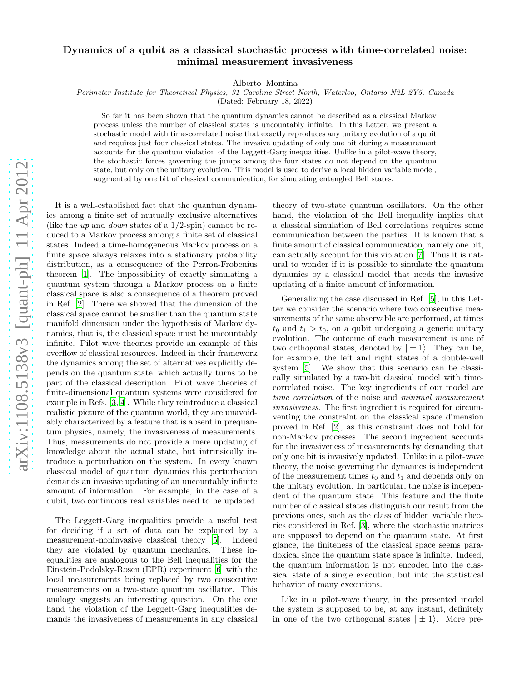## arXiv:1108.5138v3 [quant-ph] 11 Apr 2012 [arXiv:1108.5138v3 \[quant-ph\] 11 Apr 2012](http://arxiv.org/abs/1108.5138v3)

## Dynamics of a qubit as a classical stochastic process with time-correlated noise: minimal measurement invasiveness

Alberto Montina

Perimeter Institute for Theoretical Physics, 31 Caroline Street North, Waterloo, Ontario N2L 2Y5, Canada

(Dated: February 18, 2022)

So far it has been shown that the quantum dynamics cannot be described as a classical Markov process unless the number of classical states is uncountably infinite. In this Letter, we present a stochastic model with time-correlated noise that exactly reproduces any unitary evolution of a qubit and requires just four classical states. The invasive updating of only one bit during a measurement accounts for the quantum violation of the Leggett-Garg inequalities. Unlike in a pilot-wave theory, the stochastic forces governing the jumps among the four states do not depend on the quantum state, but only on the unitary evolution. This model is used to derive a local hidden variable model, augmented by one bit of classical communication, for simulating entangled Bell states.

It is a well-established fact that the quantum dynamics among a finite set of mutually exclusive alternatives (like the up and *down* states of a  $1/2$ -spin) cannot be reduced to a Markov process among a finite set of classical states. Indeed a time-homogeneous Markov process on a finite space always relaxes into a stationary probability distribution, as a consequence of the Perron-Frobenius theorem [\[1\]](#page-3-0). The impossibility of exactly simulating a quantum system through a Markov process on a finite classical space is also a consequence of a theorem proved in Ref. [\[2](#page-3-1)]. There we showed that the dimension of the classical space cannot be smaller than the quantum state manifold dimension under the hypothesis of Markov dynamics, that is, the classical space must be uncountably infinite. Pilot wave theories provide an example of this overflow of classical resources. Indeed in their framework the dynamics among the set of alternatives explicitly depends on the quantum state, which actually turns to be part of the classical description. Pilot wave theories of finite-dimensional quantum systems were considered for example in Refs. [\[3,](#page-3-2) [4](#page-3-3)]. While they reintroduce a classical realistic picture of the quantum world, they are unavoidably characterized by a feature that is absent in prequantum physics, namely, the invasiveness of measurements. Thus, measurements do not provide a mere updating of knowledge about the actual state, but intrinsically introduce a perturbation on the system. In every known classical model of quantum dynamics this perturbation demands an invasive updating of an uncountably infinite amount of information. For example, in the case of a qubit, two continuous real variables need to be updated.

The Leggett-Garg inequalities provide a useful test for deciding if a set of data can be explained by a measurement-noninvasive classical theory [\[5\]](#page-3-4). Indeed they are violated by quantum mechanics. These inequalities are analogous to the Bell inequalities for the Einstein-Podolsky-Rosen (EPR) experiment [\[6\]](#page-3-5) with the local measurements being replaced by two consecutive measurements on a two-state quantum oscillator. This analogy suggests an interesting question. On the one hand the violation of the Leggett-Garg inequalities demands the invasiveness of measurements in any classical

theory of two-state quantum oscillators. On the other hand, the violation of the Bell inequality implies that a classical simulation of Bell correlations requires some communication between the parties. It is known that a finite amount of classical communication, namely one bit, can actually account for this violation [\[7\]](#page-3-6). Thus it is natural to wonder if it is possible to simulate the quantum dynamics by a classical model that needs the invasive updating of a finite amount of information.

Generalizing the case discussed in Ref. [\[5](#page-3-4)], in this Letter we consider the scenario where two consecutive measurements of the same observable are performed, at times  $t_0$  and  $t_1 > t_0$ , on a qubit undergoing a generic unitary evolution. The outcome of each measurement is one of two orthogonal states, denoted by  $|\pm 1\rangle$ . They can be, for example, the left and right states of a double-well system [\[5](#page-3-4)]. We show that this scenario can be classically simulated by a two-bit classical model with timecorrelated noise. The key ingredients of our model are time correlation of the noise and minimal measurement invasiveness. The first ingredient is required for circumventing the constraint on the classical space dimension proved in Ref. [\[2\]](#page-3-1), as this constraint does not hold for non-Markov processes. The second ingredient accounts for the invasiveness of measurements by demanding that only one bit is invasively updated. Unlike in a pilot-wave theory, the noise governing the dynamics is independent of the measurement times  $t_0$  and  $t_1$  and depends only on the unitary evolution. In particular, the noise is independent of the quantum state. This feature and the finite number of classical states distinguish our result from the previous ones, such as the class of hidden variable theories considered in Ref. [\[3\]](#page-3-2), where the stochastic matrices are supposed to depend on the quantum state. At first glance, the finiteness of the classical space seems paradoxical since the quantum state space is infinite. Indeed, the quantum information is not encoded into the classical state of a single execution, but into the statistical behavior of many executions.

Like in a pilot-wave theory, in the presented model the system is supposed to be, at any instant, definitely in one of the two orthogonal states  $|\pm 1\rangle$ . More pre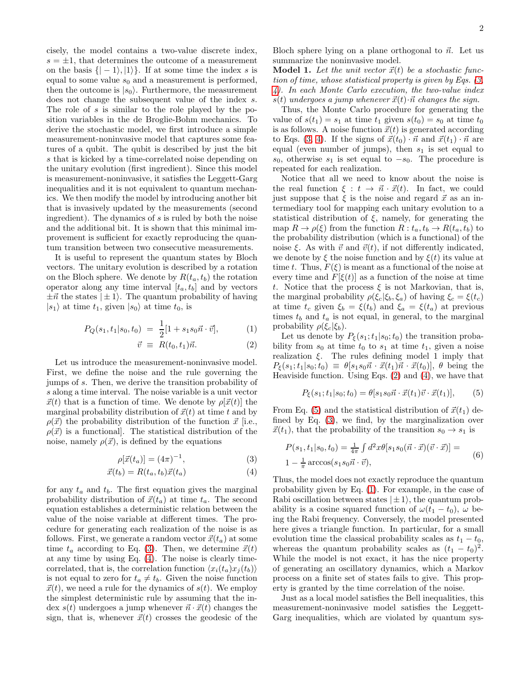cisely, the model contains a two-value discrete index,  $s = \pm 1$ , that determines the outcome of a measurement on the basis  $\{| -1\rangle, |1\rangle\}$ . If at some time the index s is equal to some value  $s_0$  and a measurement is performed, then the outcome is  $|s_0\rangle$ . Furthermore, the measurement does not change the subsequent value of the index s. The role of s is similar to the role played by the position variables in the de Broglie-Bohm mechanics. To derive the stochastic model, we first introduce a simple measurement-noninvasive model that captures some features of a qubit. The qubit is described by just the bit s that is kicked by a time-correlated noise depending on the unitary evolution (first ingredient). Since this model is measurement-noninvasive, it satisfies the Leggett-Garg inequalities and it is not equivalent to quantum mechanics. We then modify the model by introducing another bit that is invasively updated by the measurements (second ingredient). The dynamics of  $s$  is ruled by both the noise and the additional bit. It is shown that this minimal improvement is sufficient for exactly reproducing the quantum transition between two consecutive measurements.

It is useful to represent the quantum states by Bloch vectors. The unitary evolution is described by a rotation on the Bloch sphere. We denote by  $R(t_a, t_b)$  the rotation operator along any time interval  $[t_a, t_b]$  and by vectors  $\pm \vec{n}$  the states  $|\pm 1\rangle$ . The quantum probability of having  $|s_1\rangle$  at time  $t_1$ , given  $|s_0\rangle$  at time  $t_0$ , is

<span id="page-1-1"></span>
$$
P_Q(s_1, t_1 | s_0, t_0) = \frac{1}{2} [1 + s_1 s_0 \vec{n} \cdot \vec{v}], \tag{1}
$$

$$
\vec{v} \equiv R(t_0, t_1)\vec{n}.\tag{2}
$$

Let us introduce the measurement-noninvasive model. First, we define the noise and the rule governing the jumps of s. Then, we derive the transition probability of s along a time interval. The noise variable is a unit vector  $\vec{x}(t)$  that is a function of time. We denote by  $\rho[\vec{x}(t)]$  the marginal probability distribution of  $\vec{x}(t)$  at time t and by  $\rho(\vec{x})$  the probability distribution of the function  $\vec{x}$  [i.e.,  $\rho(\vec{x})$  is a functional. The statistical distribution of the noise, namely  $\rho(\vec{x})$ , is defined by the equations

<span id="page-1-0"></span>
$$
\rho[\vec{x}(t_a)] = (4\pi)^{-1},\tag{3}
$$

$$
\vec{x}(t_b) = R(t_a, t_b)\vec{x}(t_a) \tag{4}
$$

for any  $t_a$  and  $t_b$ . The first equation gives the marginal probability distribution of  $\vec{x}(t_a)$  at time  $t_a$ . The second equation establishes a deterministic relation between the value of the noise variable at different times. The procedure for generating each realization of the noise is as follows. First, we generate a random vector  $\vec{x}(t_a)$  at some time  $t_a$  according to Eq. [\(3\)](#page-1-0). Then, we determine  $\vec{x}(t)$ at any time by using Eq. [\(4\)](#page-1-0). The noise is clearly timecorrelated, that is, the correlation function  $\langle x_i(t_a)x_i(t_b)\rangle$ is not equal to zero for  $t_a \neq t_b$ . Given the noise function  $\vec{x}(t)$ , we need a rule for the dynamics of  $s(t)$ . We employ the simplest deterministic rule by assuming that the index  $s(t)$  undergoes a jump whenever  $\vec{n} \cdot \vec{x}(t)$  changes the sign, that is, whenever  $\vec{x}(t)$  crosses the geodesic of the Bloch sphere lying on a plane orthogonal to  $\vec{n}$ . Let us summarize the noninvasive model.

**Model 1.** Let the unit vector  $\vec{x}(t)$  be a stochastic function of time, whose statistical property is given by Eqs. [\(3,](#page-1-0) [4\)](#page-1-0). In each Monte Carlo execution, the two-value index  $s(t)$  undergoes a jump whenever  $\vec{x}(t) \cdot \vec{n}$  changes the sign.

Thus, the Monte Carlo procedure for generating the value of  $s(t_1) = s_1$  at time  $t_1$  given  $s(t_0) = s_0$  at time  $t_0$ is as follows. A noise function  $\vec{x}(t)$  is generated according to Eqs. [\(3, 4\)](#page-1-0). If the signs of  $\vec{x}(t_0) \cdot \vec{n}$  and  $\vec{x}(t_1) \cdot \vec{n}$  are equal (even number of jumps), then  $s_1$  is set equal to s<sub>0</sub>, otherwise s<sub>1</sub> is set equal to  $-s_0$ . The procedure is repeated for each realization.

Notice that all we need to know about the noise is the real function  $\xi : t \to \vec{n} \cdot \vec{x}(t)$ . In fact, we could just suppose that  $\xi$  is the noise and regard  $\vec{x}$  as an intermediary tool for mapping each unitary evolution to a statistical distribution of  $\xi$ , namely, for generating the map  $R \to \rho(\xi)$  from the function  $R : t_a, t_b \to R(t_a, t_b)$  to the probability distribution (which is a functional) of the noise  $\xi$ . As with  $\vec{v}$  and  $\vec{v}(t)$ , if not differently indicated, we denote by  $\xi$  the noise function and by  $\xi(t)$  its value at time t. Thus,  $F(\xi)$  is meant as a functional of the noise at every time and  $F[\xi(t)]$  as a function of the noise at time t. Notice that the process  $\xi$  is not Markovian, that is, the marginal probability  $\rho(\xi_c|\xi_b,\xi_a)$  of having  $\xi_c = \xi(t_c)$ at time  $t_c$  given  $\xi_b = \xi(t_b)$  and  $\xi_a = \xi(t_a)$  at previous times  $t_b$  and  $t_a$  is not equal, in general, to the marginal probability  $\rho(\xi_c|\xi_b)$ .

Let us denote by  $P_{\xi}(s_1;t_1|s_0;t_0)$  the transition probability from  $s_0$  at time  $t_0$  to  $s_1$  at time  $t_1$ , given a noise realization  $\xi$ . The rules defining model 1 imply that  $P_{\xi}(s_1;t_1|s_0;t_0) \equiv \theta[s_1s_0\vec{n} \cdot \vec{x}(t_1)\vec{n} \cdot \vec{x}(t_0)], \theta$  being the Heaviside function. Using Eqs. [\(2\)](#page-1-1) and [\(4\)](#page-1-0), we have that

<span id="page-1-2"></span>
$$
P_{\xi}(s_1; t_1|s_0; t_0) = \theta[s_1s_0\vec{n} \cdot \vec{x}(t_1)\vec{v} \cdot \vec{x}(t_1)], \qquad (5)
$$

From Eq. [\(5\)](#page-1-2) and the statistical distribution of  $\vec{x}(t_1)$  defined by Eq. [\(3\)](#page-1-0), we find, by the marginalization over  $\vec{x}(t_1)$ , that the probability of the transition  $s_0 \rightarrow s_1$  is

$$
P(s_1, t_1|s_0, t_0) = \frac{1}{4\pi} \int d^2x \theta[s_1 s_0(\vec{n} \cdot \vec{x})(\vec{v} \cdot \vec{x})] =
$$
  
1 -  $\frac{1}{\pi} \arccos(s_1 s_0 \vec{n} \cdot \vec{v}),$  (6)

Thus, the model does not exactly reproduce the quantum probability given by Eq. [\(1\)](#page-1-1). For example, in the case of Rabi oscillation between states  $|\pm 1\rangle$ , the quantum probability is a cosine squared function of  $\omega(t_1 - t_0)$ ,  $\omega$  being the Rabi frequency. Conversely, the model presented here gives a triangle function. In particular, for a small evolution time the classical probability scales as  $t_1 - t_0$ , whereas the quantum probability scales as  $(t_1 - t_0)^2$ . While the model is not exact, it has the nice property of generating an oscillatory dynamics, which a Markov process on a finite set of states fails to give. This property is granted by the time correlation of the noise.

Just as a local model satisfies the Bell inequalities, this measurement-noninvasive model satisfies the Leggett-Garg inequalities, which are violated by quantum sys-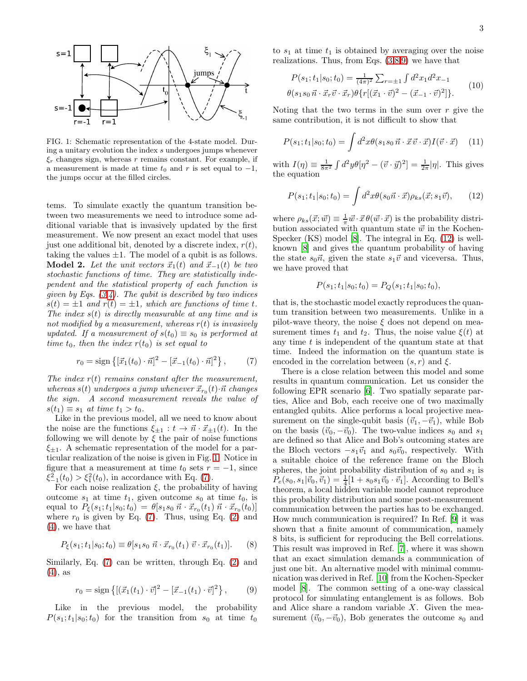

<span id="page-2-0"></span>FIG. 1: Schematic representation of the 4-state model. During a unitary evolution the index s undergoes jumps whenever  $\xi_r$  changes sign, whereas r remains constant. For example, if a measurement is made at time  $t_0$  and r is set equal to  $-1$ , the jumps occur at the filled circles.

tems. To simulate exactly the quantum transition between two measurements we need to introduce some additional variable that is invasively updated by the first measurement. We now present an exact model that uses just one additional bit, denoted by a discrete index,  $r(t)$ , taking the values  $\pm 1$ . The model of a qubit is as follows. **Model 2.** Let the unit vectors  $\vec{x}_1(t)$  and  $\vec{x}_{-1}(t)$  be two stochastic functions of time. They are statistically independent and the statistical property of each function is given by Eqs.  $(3, 4)$ . The qubit is described by two indices  $s(t) = \pm 1$  and  $r(t) = \pm 1$ , which are functions of time t. The index  $s(t)$  is directly measurable at any time and is not modified by a measurement, whereas  $r(t)$  is invasively updated. If a measurement of  $s(t_0) \equiv s_0$  is performed at time  $t_0$ , then the index  $r(t_0)$  is set equal to

<span id="page-2-1"></span>
$$
r_0 = \text{sign}\left\{ [\vec{x}_1(t_0) \cdot \vec{n}]^2 - [\vec{x}_{-1}(t_0) \cdot \vec{n}]^2 \right\},\qquad(7)
$$

The index  $r(t)$  remains constant after the measurement, whereas  $s(t)$  undergoes a jump whenever  $\vec{x}_{r_0}(t) \cdot \vec{n}$  changes the sign. A second measurement reveals the value of  $s(t_1) \equiv s_1$  at time  $t_1 > t_0$ .

Like in the previous model, all we need to know about the noise are the functions  $\xi_{+1}: t \to \vec{n} \cdot \vec{x}_{+1}(t)$ . In the following we will denote by  $\xi$  the pair of noise functions  $\xi_{\pm 1}$ . A schematic representation of the model for a particular realization of the noise is given in Fig. [1.](#page-2-0) Notice in figure that a measurement at time  $t_0$  sets  $r = -1$ , since  $\xi_{-1}^{2}(t_{0}) > \xi_{1}^{2}(t_{0}),$  in accordance with Eq. [\(7\)](#page-2-1).

For each noise realization  $\xi$ , the probability of having outcome  $s_1$  at time  $t_1$ , given outcome  $s_0$  at time  $t_0$ , is equal to  $P_{\xi}(s_1;t_1|s_0;t_0) = \theta[s_1s_0 \ \vec{n} \cdot \vec{x}_{r_0}(t_1) \ \vec{n} \cdot \vec{x}_{r_0}(t_0)]$ where  $r_0$  is given by Eq. [\(7\)](#page-2-1). Thus, using Eq. [\(2\)](#page-1-1) and [\(4\)](#page-1-0), we have that

<span id="page-2-2"></span>
$$
P_{\xi}(s_1; t_1|s_0; t_0) \equiv \theta[s_1s_0 \ \vec{n} \cdot \vec{x}_{r_0}(t_1) \ \vec{v} \cdot \vec{x}_{r_0}(t_1)]. \tag{8}
$$

Similarly, Eq. [\(7\)](#page-2-1) can be written, through Eq. [\(2\)](#page-1-1) and [\(4\)](#page-1-0), as

<span id="page-2-3"></span>
$$
r_0 = \text{sign}\left\{ [(\vec{x}_1(t_1) \cdot \vec{v})^2 - [\vec{x}_{-1}(t_1) \cdot \vec{v}]^2 \right\},\qquad(9)
$$

Like in the previous model, the probability  $P(s_1;t_1|s_0;t_0)$  for the transition from  $s_0$  at time  $t_0$  to  $s_1$  at time  $t_1$  is obtained by averaging over the noise realizations. Thus, from Eqs.  $(3,8,9)$  $(3,8,9)$  $(3,8,9)$  we have that

$$
P(s_1; t_1|s_0; t_0) = \frac{1}{(4\pi)^2} \sum_{r=\pm 1} \int d^2 x_1 d^2 x_{-1}
$$
  

$$
\theta(s_1 s_0 \vec{n} \cdot \vec{x}_r \vec{v} \cdot \vec{x}_r) \theta\{r[(\vec{x}_1 \cdot \vec{v})^2 - (\vec{x}_{-1} \cdot \vec{v})^2]\}.
$$
 (10)

Noting that the two terms in the sum over  $r$  give the same contribution, it is not difficult to show that

$$
P(s_1; t_1|s_0; t_0) = \int d^2x \theta(s_1s_0 \vec{n} \cdot \vec{x} \vec{v} \cdot \vec{x}) I(\vec{v} \cdot \vec{x}) \tag{11}
$$

with  $I(\eta) \equiv \frac{1}{8\pi^2} \int d^2y \theta [\eta^2 - (\vec{v} \cdot \vec{y})^2] = \frac{1}{2\pi} |\eta|$ . This gives the equation

<span id="page-2-4"></span>
$$
P(s_1; t_1|s_0; t_0) = \int d^2x \theta(s_0 \vec{n} \cdot \vec{x}) \rho_{ks}(\vec{x}; s_1 \vec{v}), \qquad (12)
$$

where  $\rho_{ks}(\vec{x}; \vec{w}) \equiv \frac{1}{\pi} \vec{w} \cdot \vec{x} \theta(\vec{w} \cdot \vec{x})$  is the probability distribution associated with quantum state  $\vec{w}$  in the Kochen-Specker (KS) model [\[8\]](#page-3-7). The integral in Eq. [\(12\)](#page-2-4) is wellknown [\[8\]](#page-3-7) and gives the quantum probability of having the state  $s_0\vec{n}$ , given the state  $s_1\vec{v}$  and viceversa. Thus, we have proved that

$$
P(s_1; t_1|s_0; t_0) = P_Q(s_1; t_1|s_0; t_0),
$$

that is, the stochastic model exactly reproduces the quantum transition between two measurements. Unlike in a pilot-wave theory, the noise  $\xi$  does not depend on measurement times  $t_1$  and  $t_2$ . Thus, the noise value  $\xi(t)$  at any time  $t$  is independent of the quantum state at that time. Indeed the information on the quantum state is encoded in the correlation between  $(s, r)$  and  $\xi$ .

There is a close relation between this model and some results in quantum communication. Let us consider the following EPR scenario [\[6](#page-3-5)]. Two spatially separate parties, Alice and Bob, each receive one of two maximally entangled qubits. Alice performs a local projective measurement on the single-qubit basis  $(\vec{v}_1, -\vec{v}_1)$ , while Bob on the basis  $(\vec{v}_0, -\vec{v}_0)$ . The two-value indices  $s_0$  and  $s_1$ are defined so that Alice and Bob's outcoming states are the Bloch vectors  $-s_1\vec{v}_1$  and  $s_0\vec{v}_0$ , respectively. With a suitable choice of the reference frame on the Bloch spheres, the joint probability distribution of  $s_0$  and  $s_1$  is  $P_e(s_0, s_1 | \vec{v}_0, \vec{v}_1) = \frac{1}{4} [1 + s_0 s_1 \vec{v}_0 \cdot \vec{v}_1].$  According to Bell's theorem, a local hidden variable model cannot reproduce this probability distribution and some post-measurement communication between the parties has to be exchanged. How much communication is required? In Ref. [\[9\]](#page-4-0) it was shown that a finite amount of communication, namely 8 bits, is sufficient for reproducing the Bell correlations. This result was improved in Ref. [\[7](#page-3-6)], where it was shown that an exact simulation demands a communication of just one bit. An alternative model with minimal communication was derived in Ref. [\[10](#page-4-1)] from the Kochen-Specker model [\[8\]](#page-3-7). The common setting of a one-way classical protocol for simulating entanglement is as follows. Bob and Alice share a random variable X. Given the measurement  $(\vec{v}_0, -\vec{v}_0)$ , Bob generates the outcome  $s_0$  and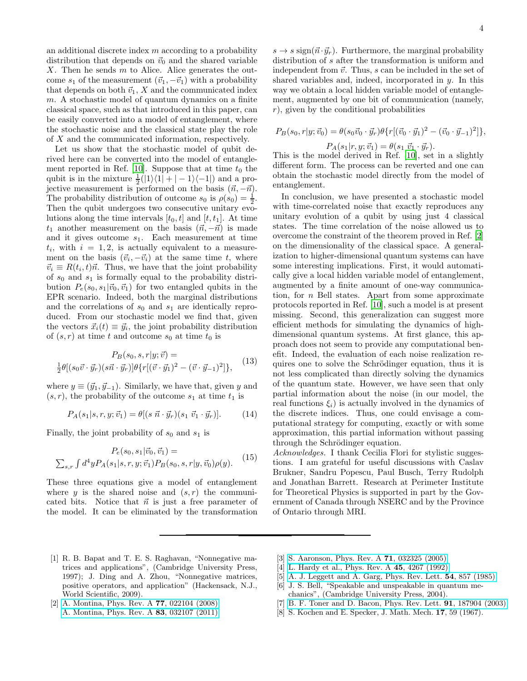an additional discrete index  $m$  according to a probability distribution that depends on  $\vec{v}_0$  and the shared variable  $X$ . Then he sends  $m$  to Alice. Alice generates the outcome  $s_1$  of the measurement  $(\vec{v}_1, -\vec{v}_1)$  with a probability that depends on both  $\vec{v}_1$ , X and the communicated index m. A stochastic model of quantum dynamics on a finite classical space, such as that introduced in this paper, can be easily converted into a model of entanglement, where the stochastic noise and the classical state play the role of X and the communicated information, respectively.

Let us show that the stochastic model of qubit derived here can be converted into the model of entangle-ment reported in Ref. [\[10\]](#page-4-1). Suppose that at time  $t_0$  the qubit is in the mixture  $\frac{1}{2}(|1\rangle\langle 1| + |-1\rangle\langle -1|)$  and a projective measurement is performed on the basis  $(\vec{n}, -\vec{n})$ . The probability distribution of outcome  $s_0$  is  $\rho(s_0) = \frac{1}{2}$ . Then the qubit undergoes two consecutive unitary evolutions along the time intervals  $[t_0, t]$  and  $[t, t_1]$ . At time  $t_1$  another measurement on the basis  $(\vec{n}, -\vec{n})$  is made and it gives outcome  $s_1$ . Each measurement at time  $t_i$ , with  $i = 1, 2$ , is actually equivalent to a measurement on the basis  $(\vec{v}_i, -\vec{v}_i)$  at the same time t, where  $\vec{v}_i \equiv R(t_i, t)\vec{n}$ . Thus, we have that the joint probability of  $s_0$  and  $s_1$  is formally equal to the probability distribution  $P_e(s_0, s_1 | \vec{v}_0, \vec{v}_1)$  for two entangled qubits in the EPR scenario. Indeed, both the marginal distributions and the correlations of  $s_0$  and  $s_1$  are identically reproduced. From our stochastic model we find that, given the vectors  $\vec{x}_i(t) \equiv \vec{y}_i$ , the joint probability distribution of  $(s, r)$  at time t and outcome  $s_0$  at time  $t_0$  is

$$
P_B(s_0, s, r | y; \vec{v}) =
$$
  
\n
$$
\frac{1}{2} \theta [(s_0 \vec{v} \cdot \vec{y}_r)(s \vec{n} \cdot \vec{y}_r)] \theta \{r [(\vec{v} \cdot \vec{y}_1)^2 - (\vec{v} \cdot \vec{y}_{-1})^2] \},
$$
\n(13)

where  $y \equiv (\vec{y}_1, \vec{y}_{-1})$ . Similarly, we have that, given y and  $(s, r)$ , the probability of the outcome  $s_1$  at time  $t_1$  is

$$
P_A(s_1|s, r, y; \vec{v}_1) = \theta[(s \ \vec{n} \cdot \vec{y}_r)(s_1 \ \vec{v}_1 \cdot \vec{y}_r)]. \tag{14}
$$

Finally, the joint probability of  $s_0$  and  $s_1$  is

$$
P_e(s_0, s_1 | \vec{v}_0, \vec{v}_1) =
$$
  

$$
\sum_{s,r} \int d^4 y P_A(s_1 | s, r, y; \vec{v}_1) P_B(s_0, s, r | y, \vec{v}_0) \rho(y).
$$
 (15)

These three equations give a model of entanglement where y is the shared noise and  $(s, r)$  the communicated bits. Notice that  $\vec{n}$  is just a free parameter of the model. It can be eliminated by the transformation

 $s \to s$  sign $(\vec{n} \cdot \vec{y}_r)$ . Furthermore, the marginal probability distribution of s after the transformation is uniform and independent from  $\vec{v}$ . Thus, s can be included in the set of shared variables and, indeed, incorporated in  $y$ . In this way we obtain a local hidden variable model of entanglement, augmented by one bit of communication (namely,  $r$ ), given by the conditional probabilities

$$
P_B(s_0, r | y; \vec{v}_0) = \theta(s_0 \vec{v}_0 \cdot \vec{y}_r) \theta\{r [(\vec{v}_0 \cdot \vec{y}_1)^2 - (\vec{v}_0 \cdot \vec{y}_{-1})^2]\},
$$
  

$$
P_A(s_1 | r, y; \vec{v}_1) = \theta(s_1 \vec{v}_1 \cdot \vec{y}_r).
$$

This is the model derived in Ref. [\[10\]](#page-4-1), set in a slightly different form. The process can be reverted and one can obtain the stochastic model directly from the model of entanglement.

In conclusion, we have presented a stochastic model with time-correlated noise that exactly reproduces any unitary evolution of a qubit by using just 4 classical states. The time correlation of the noise allowed us to overcome the constraint of the theorem proved in Ref. [\[2](#page-3-1)] on the dimensionality of the classical space. A generalization to higher-dimensional quantum systems can have some interesting implications. First, it would automatically give a local hidden variable model of entanglement, augmented by a finite amount of one-way communication, for n Bell states. Apart from some approximate protocols reported in Ref. [\[10\]](#page-4-1), such a model is at present missing. Second, this generalization can suggest more efficient methods for simulating the dynamics of highdimensional quantum systems. At first glance, this approach does not seem to provide any computational benefit. Indeed, the evaluation of each noise realization requires one to solve the Schrödinger equation, thus it is not less complicated than directly solving the dynamics of the quantum state. However, we have seen that only partial information about the noise (in our model, the real functions  $\xi_i$ ) is actually involved in the dynamics of the discrete indices. Thus, one could envisage a computational strategy for computing, exactly or with some approximation, this partial information without passing through the Schrödinger equation.

Acknowledges. I thank Cecilia Flori for stylistic suggestions. I am grateful for useful discussions with Caslav Brukner, Sandru Popescu, Paul Busch, Terry Rudolph and Jonathan Barrett. Research at Perimeter Institute for Theoretical Physics is supported in part by the Government of Canada through NSERC and by the Province of Ontario through MRI.

- <span id="page-3-0"></span>[1] R. B. Bapat and T. E. S. Raghavan, "Nonnegative matrices and applications", (Cambridge University Press, 1997); J. Ding and A. Zhou, "Nonnegative matrices, positive operators, and application" (Hackensack, N.J., World Scientific, 2009).
- <span id="page-3-1"></span>[2] [A. Montina, Phys. Rev. A](http://dx.doi.org/10.1103/PhysRevA.77.022104) **77**, 022104 (2008); [A. Montina, Phys. Rev. A](http://dx.doi.org/10.1103/PhysRevA.83.032107) 83, 032107 (2011).
- <span id="page-3-2"></span>[3] [S. Aaronson, Phys. Rev. A](http://dx.doi.org/10.1103/PhysRevA.71.032325) **71**, 032325 (2005).
- <span id="page-3-3"></span>[4] [L. Hardy et al., Phys. Rev. A](http://dx.doi.org/10.1103/PhysRevA.45.4267) 45, 4267 (1992).
- <span id="page-3-4"></span>[5] [A. J. Leggett and A. Garg, Phys. Rev. Lett.](http://dx.doi.org/10.1103/PhysRevLett.54.857) 54, 857 (1985).
- <span id="page-3-5"></span>[6] J. S. Bell, "Speakable and unspeakable in quantum mechanics", (Cambridge University Press, 2004).
- <span id="page-3-6"></span>B. F. Toner and D. Bacon, Phys. Rev. Lett. **91**, 187904 (2003).
- <span id="page-3-7"></span>[8] S. Kochen and E. Specker, J. Math. Mech. 17, 59 (1967).